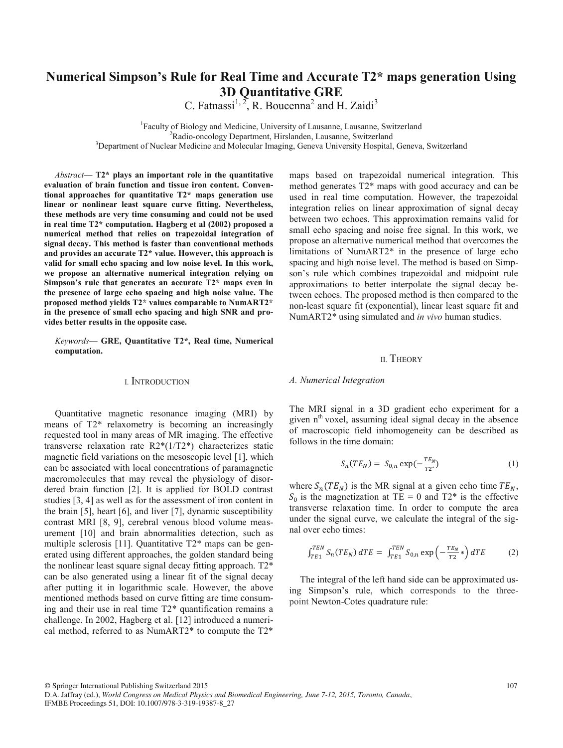# **Numerical Simpson's Rule for Real Time and Accurate T2\* maps generation Using 3D Quantitative GRE**

C. Fatnassi<sup>1, 2</sup>, R. Boucenna<sup>2</sup> and H. Zaidi<sup>3</sup>

<sup>1</sup> Faculty of Biology and Medicine, University of Lausanne, Lausanne, Switzerland<br><sup>2</sup> Padio oncology Department, Hirslanden, Lausanne, Switzerland  ${}^{2}$ Radio-oncology Department, Hirslanden, Lausanne, Switzerland  $3$ Department of Nuclear Medicine and Molecular Imaging, Geneva University Hospital, Geneva, Switzerland

*Abstract***— T2\* plays an important role in the quantitative evaluation of brain function and tissue iron content. Conventional approaches for quantitative T2\* maps generation use linear or nonlinear least square curve fitting. Nevertheless, these methods are very time consuming and could not be used in real time T2\* computation. Hagberg et al (2002) proposed a numerical method that relies on trapezoidal integration of signal decay. This method is faster than conventional methods and provides an accurate T2\* value. However, this approach is valid for small echo spacing and low noise level. In this work, we propose an alternative numerical integration relying on Simpson's rule that generates an accurate T2\* maps even in the presence of large echo spacing and high noise value. The proposed method yields T2\* values comparable to NumART2\* in the presence of small echo spacing and high SNR and provides better results in the opposite case.** 

*Keywords***— GRE, Quantitative T2\*, Real time, Numerical computation.** 

#### I. INTRODUCTION

Quantitative magnetic resonance imaging (MRI) by means of T2\* relaxometry is becoming an increasingly requested tool in many areas of MR imaging. The effective transverse relaxation rate R2\*(1/T2\*) characterizes static magnetic field variations on the mesoscopic level [1], which can be associated with local concentrations of paramagnetic macromolecules that may reveal the physiology of disordered brain function [2]. It is applied for BOLD contrast studies [3, 4] as well as for the assessment of iron content in the brain [5], heart [6], and liver [7], dynamic susceptibility contrast MRI [8, 9], cerebral venous blood volume measurement [10] and brain abnormalities detection, such as multiple sclerosis [11]. Quantitative T2\* maps can be generated using different approaches, the golden standard being the nonlinear least square signal decay fitting approach. T2\* can be also generated using a linear fit of the signal decay after putting it in logarithmic scale. However, the above mentioned methods based on curve fitting are time consuming and their use in real time T2\* quantification remains a challenge. In 2002, Hagberg et al. [12] introduced a numerical method, referred to as NumART2\* to compute the T2\*

maps based on trapezoidal numerical integration. This method generates T2\* maps with good accuracy and can be used in real time computation. However, the trapezoidal integration relies on linear approximation of signal decay between two echoes. This approximation remains valid for small echo spacing and noise free signal. In this work, we propose an alternative numerical method that overcomes the limitations of NumART2\* in the presence of large echo spacing and high noise level. The method is based on Simpson's rule which combines trapezoidal and midpoint rule approximations to better interpolate the signal decay between echoes. The proposed method is then compared to the non-least square fit (exponential), linear least square fit and NumART2\* using simulated and *in vivo* human studies.

#### II. THEORY

#### *A. Numerical Integration*

The MRI signal in a 3D gradient echo experiment for a given  $n<sup>th</sup>$  voxel, assuming ideal signal decay in the absence of macroscopic field inhomogeneity can be described as follows in the time domain:

$$
S_n(TE_N) = S_{0,n} \exp(-\frac{TE_N}{T2^*})
$$
 (1)

where  $S_n(TE_N)$  is the MR signal at a given echo time  $TE_N$ ,  $S_0$  is the magnetization at TE = 0 and T2\* is the effective transverse relaxation time. In order to compute the area under the signal curve, we calculate the integral of the signal over echo times:

$$
\int_{TE1}^{TEN} S_n(TE_N) \, dTE = \int_{TE1}^{TEN} S_{0,n} \exp\left(-\frac{TE_N}{T2} * \right) dTE \tag{2}
$$

The integral of the left hand side can be approximated using Simpson's rule, which corresponds to the threepoint Newton-Cotes quadrature rule:

© Springer International Publishing Switzerland 2015

D.A. Jaffray (ed.), *World Congress on Medical Physics and Biomedical Engineering, June 7-12, 2015, Toronto, Canada*, IFMBE Proceedings 51, DOI: 10.1007/978-3-319-19387-8\_27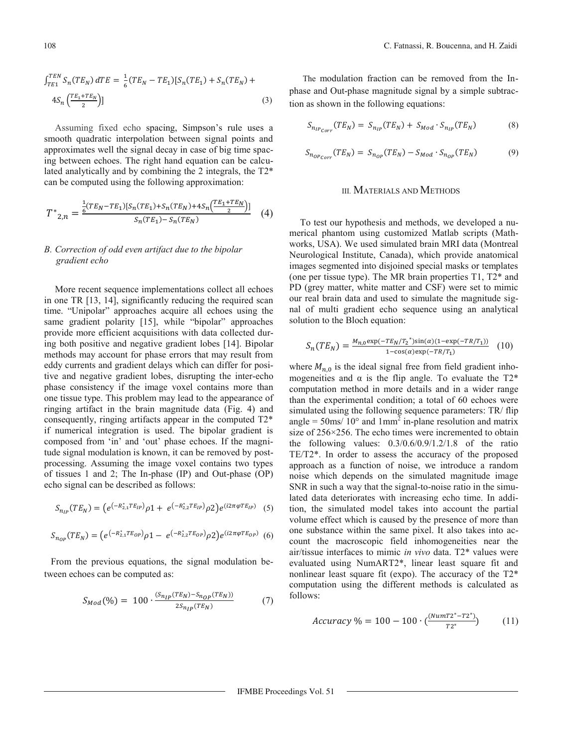$$
\int_{TE1}^{TEN} S_n(TE_N) dTE = \frac{1}{6} (TE_N - TE_1) [S_n(TE_1) + S_n(TE_N) + 4S_n \left( \frac{TE_1 + TE_N}{2} \right)]
$$
\n(3)

Assuming fixed echo spacing, Simpson's rule uses a smooth quadratic interpolation between signal points and approximates well the signal decay in case of big time spacing between echoes. The right hand equation can be calculated analytically and by combining the 2 integrals, the T2<sup>\*</sup> can be computed using the following approximation:

$$
T^*_{2,n} = \frac{\frac{1}{6}(TE_N - TE_1)[S_n(TE_1) + S_n(TE_N) + 4S_n\left(\frac{TE_1 + TE_N}{2}\right)]}{S_n(TE_1) - S_n(TE_N)} \tag{4}
$$

## B. Correction of odd even artifact due to the bipolar gradient echo

More recent sequence implementations collect all echoes in one TR [13, 14], significantly reducing the required scan time. "Unipolar" approaches acquire all echoes using the same gradient polarity [15], while "bipolar" approaches provide more efficient acquisitions with data collected during both positive and negative gradient lobes [14]. Bipolar methods may account for phase errors that may result from eddy currents and gradient delays which can differ for positive and negative gradient lobes, disrupting the inter-echo phase consistency if the image voxel contains more than one tissue type. This problem may lead to the appearance of ringing artifact in the brain magnitude data (Fig. 4) and consequently, ringing artifacts appear in the computed T2\* if numerical integration is used. The bipolar gradient is composed from 'in' and 'out' phase echoes. If the magnitude signal modulation is known, it can be removed by postprocessing. Assuming the image voxel contains two types of tissues 1 and 2; The In-phase (IP) and Out-phase (OP) echo signal can be described as follows:

$$
S_{n_{IP}}(TE_N) = \left(e^{\left(-R_{2,1}^*TE_{IP}\right)}\rho 1 + e^{\left(-R_{2,2}^*TE_{IP}\right)}\rho 2\right)e^{\left(i2\pi\varphi TE_{IP}\right)} \quad (5)
$$

$$
S_{n_{OP}}(TE_N) = \left(e^{\left(-R_{2,1}^*TE_{OP}\right)}\rho_1 - e^{\left(-R_{2,2}^*TE_{OP}\right)}\rho_2\right)e^{\left(i2\pi\varphi TE_{OP}\right)}\tag{6}
$$

From the previous equations, the signal modulation between echoes can be computed as:

$$
S_{Mod}(\%) = 100 \cdot \frac{(S_{n_{IP}}(TE_N) - S_{n_{OP}}(TE_N))}{2S_{n_{IP}}(TE_N)}
$$
(7)

The modulation fraction can be removed from the Inphase and Out-phase magnitude signal by a simple subtraction as shown in the following equations:

$$
S_{n_{IP_{Corr}}}(TE_N) = S_{n_{IP}}(TE_N) + S_{Mod} \cdot S_{n_{IP}}(TE_N) \tag{8}
$$

$$
S_{n_{OPCorr}}(TE_N) = S_{n_{OP}}(TE_N) - S_{Mod} \cdot S_{n_{OP}}(TE_N)
$$
\n(9)

# **III MATERIALS AND METHODS**

To test our hypothesis and methods, we developed a numerical phantom using customized Matlab scripts (Mathworks, USA). We used simulated brain MRI data (Montreal Neurological Institute, Canada), which provide anatomical images segmented into disjoined special masks or templates (one per tissue type). The MR brain properties  $T1$ ,  $T2^*$  and PD (grey matter, white matter and CSF) were set to mimic our real brain data and used to simulate the magnitude signal of multi gradient echo sequence using an analytical solution to the Bloch equation:

$$
S_n(TE_N) = \frac{M_{n,0} \exp(-TE_N/T_2^*)\sin(\alpha)(1-\exp(-TR/T_1))}{1-\cos(\alpha)\exp(-TR/T_1)} \tag{10}
$$

where  $M_{n,0}$  is the ideal signal free from field gradient inhomogeneities and  $\alpha$  is the flip angle. To evaluate the T2<sup>\*</sup> computation method in more details and in a wider range than the experimental condition; a total of 60 echoes were simulated using the following sequence parameters: TR/ flip angle =  $50 \text{ms}/ 10^{\circ}$  and  $1 \text{mm}^2$  in-plane resolution and matrix size of 256×256. The echo times were incremented to obtain the following values:  $0.3/0.6/0.9/1.2/1.8$  of the ratio TE/T2\*. In order to assess the accuracy of the proposed approach as a function of noise, we introduce a random noise which depends on the simulated magnitude image SNR in such a way that the signal-to-noise ratio in the simulated data deteriorates with increasing echo time. In addition, the simulated model takes into account the partial volume effect which is caused by the presence of more than one substance within the same pixel. It also takes into account the macroscopic field inhomogeneities near the air/tissue interfaces to mimic in vivo data. T2\* values were evaluated using NumART2\*, linear least square fit and nonlinear least square fit (expo). The accuracy of the  $T2^*$ computation using the different methods is calculated as follows:

$$
Accuracy \% = 100 - 100 \cdot \left( \frac{(NumT2^* - T2^*)}{T2^*} \right) \tag{11}
$$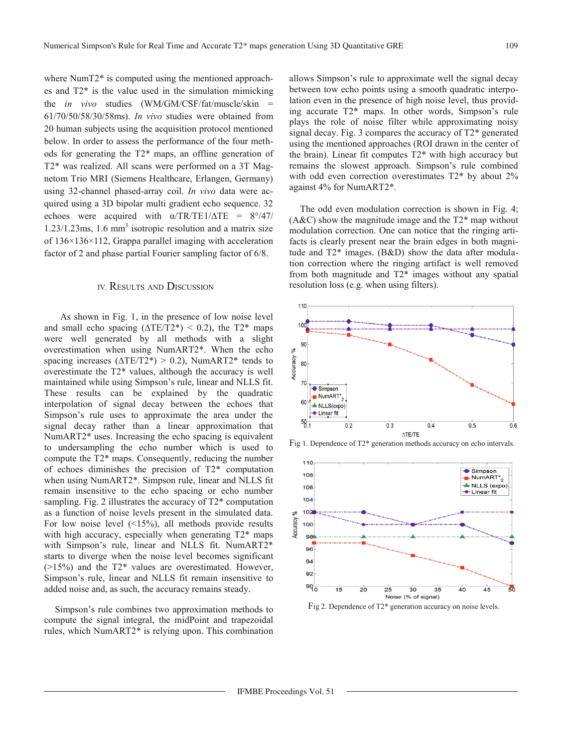where NumT2<sup>\*</sup> is computed using the mentioned approaches and T2\* is the value used in the simulation mimicking the *in vivo* studies (WM/GM/CSF/fat/muscle/skin = 61/70/50/58/30/58ms). *In vivo* studies were obtained from 20 human subjects using the acquisition protocol mentioned below. In order to assess the performance of the four methods for generating the T2\* maps, an offline generation of T2\* was realized. All scans were performed on a 3T Magnetom Trio MRI (Siemens Healthcare, Erlangen, Germany) using 32-channel phased-array coil. *In vivo* data were acquired using a 3D bipolar multi gradient echo sequence. 32 echoes were acquired with  $\alpha/TR/TE1/\Delta TE = 8^{\circ}/47/$  $1.23/1.23$ ms,  $1.6$  mm<sup>3</sup> isotropic resolution and a matrix size of 136×136×112, Grappa parallel imaging with acceleration factor of 2 and phase partial Fourier sampling factor of 6/8.

#### IV. RESULTS AND DISCUSSION

 As shown in Fig. 1, in the presence of low noise level and small echo spacing  $(\Delta TE/T2^*)$  < 0.2), the T2\* maps were well generated by all methods with a slight overestimation when using NumART2\*. When the echo spacing increases ( $\triangle$ TE/T2\*) > 0.2), NumART2\* tends to overestimate the T2\* values, although the accuracy is well maintained while using Simpson's rule, linear and NLLS fit. These results can be explained by the quadratic interpolation of signal decay between the echoes that Simpson's rule uses to approximate the area under the signal decay rather than a linear approximation that NumART2\* uses. Increasing the echo spacing is equivalent to undersampling the echo number which is used to compute the T2\* maps. Consequently, reducing the number of echoes diminishes the precision of T2\* computation when using NumART2\*. Simpson rule, linear and NLLS fit remain insensitive to the echo spacing or echo number sampling. Fig. 2 illustrates the accuracy of T2\* computation as a function of noise levels present in the simulated data. For low noise level  $(15\%)$ , all methods provide results with high accuracy, especially when generating  $T2^*$  maps with Simpson's rule, linear and NLLS fit. NumART2\* starts to diverge when the noise level becomes significant  $(>15%)$  and the T2\* values are overestimated. However, Simpson's rule, linear and NLLS fit remain insensitive to added noise and, as such, the accuracy remains steady.

Simpson's rule combines two approximation methods to compute the signal integral, the midPoint and trapezoidal rules, which NumART2\* is relying upon. This combination allows Simpson's rule to approximate well the signal decay between tow echo points using a smooth quadratic interpolation even in the presence of high noise level, thus providing accurate T2\* maps. In other words, Simpson's rule plays the role of noise filter while approximating noisy signal decay. Fig. 3 compares the accuracy of T2\* generated using the mentioned approaches (ROI drawn in the center of the brain). Linear fit computes T2\* with high accuracy but remains the slowest approach. Simpson's rule combined with odd even correction overestimates  $T2^*$  by about  $2\%$ against 4% for NumART2\*.

The odd even modulation correction is shown in Fig. 4;  $(A&C)$  show the magnitude image and the  $T2^*$  map without modulation correction. One can notice that the ringing artifacts is clearly present near the brain edges in both magnitude and T2\* images. (B&D) show the data after modulation correction where the ringing artifact is well removed from both magnitude and T2\* images without any spatial resolution loss (e.g. when using filters).



Fig 1. Dependence of T2\* generation methods accuracy on echo intervals.



Fig 2. Dependence of T2\* generation accuracy on noise levels.